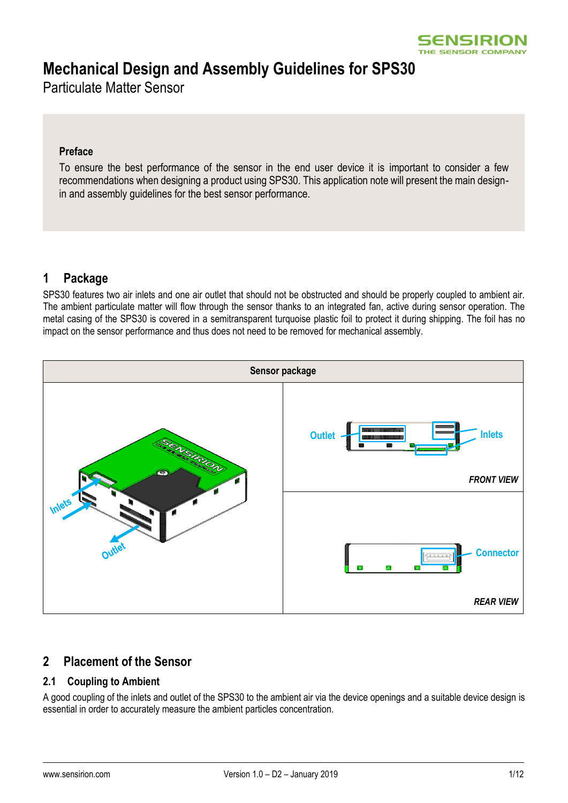

# **Mechanical Design and Assembly Guidelines for SPS30**

Particulate Matter Sensor

#### **Preface**

To ensure the best performance of the sensor in the end user device it is important to consider a few recommendations when designing a product using SPS30. This application note will present the main designin and assembly guidelines for the best sensor performance.

# **1 Package**

SPS30 features two air inlets and one air outlet that should not be obstructed and should be properly coupled to ambient air. The ambient particulate matter will flow through the sensor thanks to an integrated fan, active during sensor operation. The metal casing of the SPS30 is covered in a semitransparent turquoise plastic foil to protect it during shipping. The foil has no impact on the sensor performance and thus does not need to be removed for mechanical assembly.



### **2 Placement of the Sensor**

### **2.1 Coupling to Ambient**

A good coupling of the inlets and outlet of the SPS30 to the ambient air via the device openings and a suitable device design is essential in order to accurately measure the ambient particles concentration.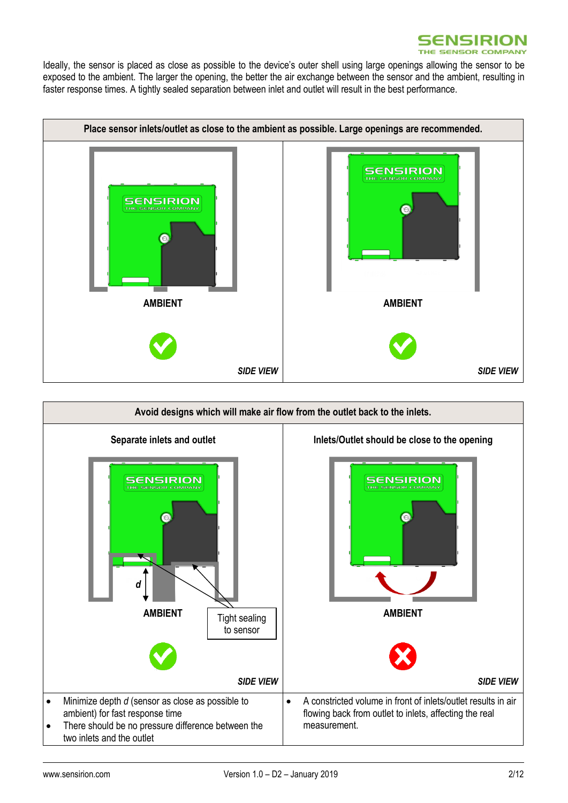

Ideally, the sensor is placed as close as possible to the device's outer shell using large openings allowing the sensor to be exposed to the ambient. The larger the opening, the better the air exchange between the sensor and the ambient, resulting in faster response times. A tightly sealed separation between inlet and outlet will result in the best performance.



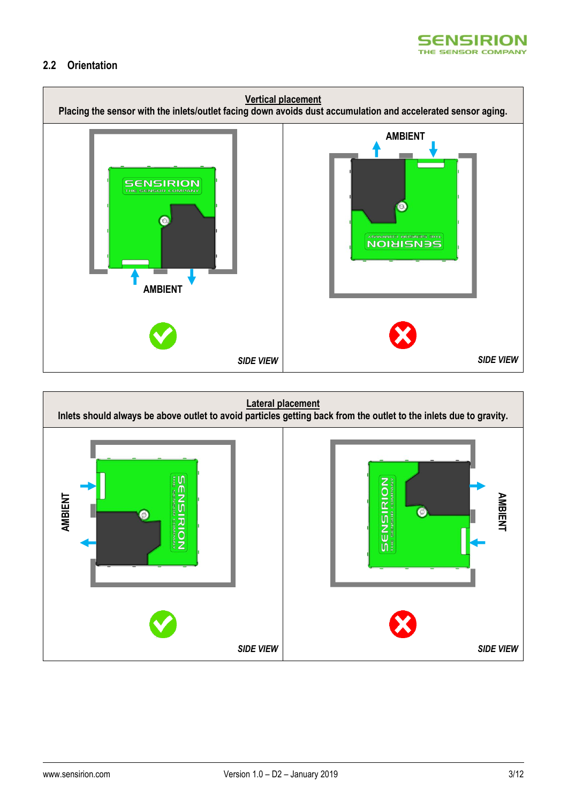

#### **2.2 Orientation**



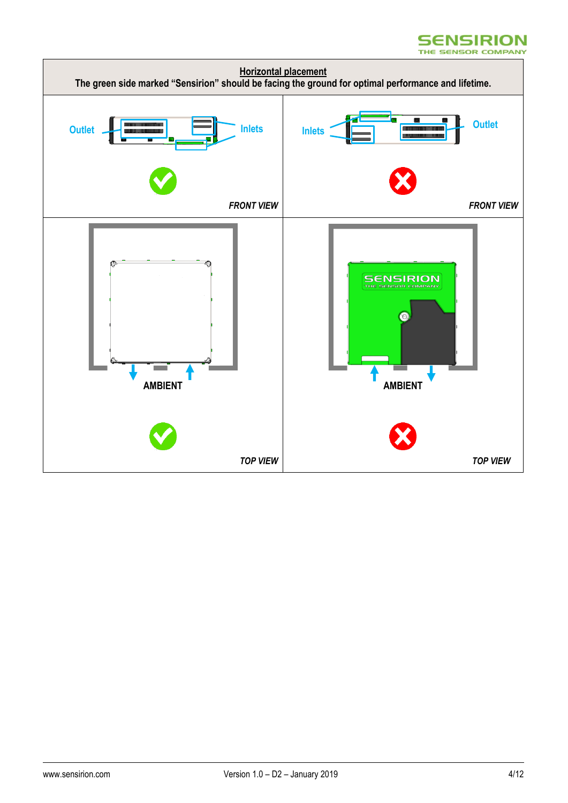#### **SENSIRION** THE SENSOR COMPANY

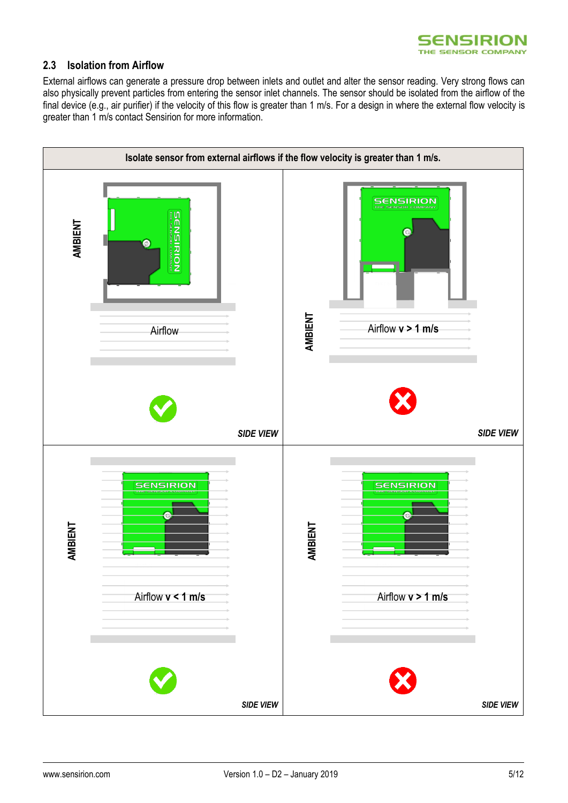

#### **2.3 Isolation from Airflow**

External airflows can generate a pressure drop between inlets and outlet and alter the sensor reading. Very strong flows can also physically prevent particles from entering the sensor inlet channels. The sensor should be isolated from the airflow of the final device (e.g., air purifier) if the velocity of this flow is greater than 1 m/s. For a design in where the external flow velocity is greater than 1 m/s contact Sensirion for more information.

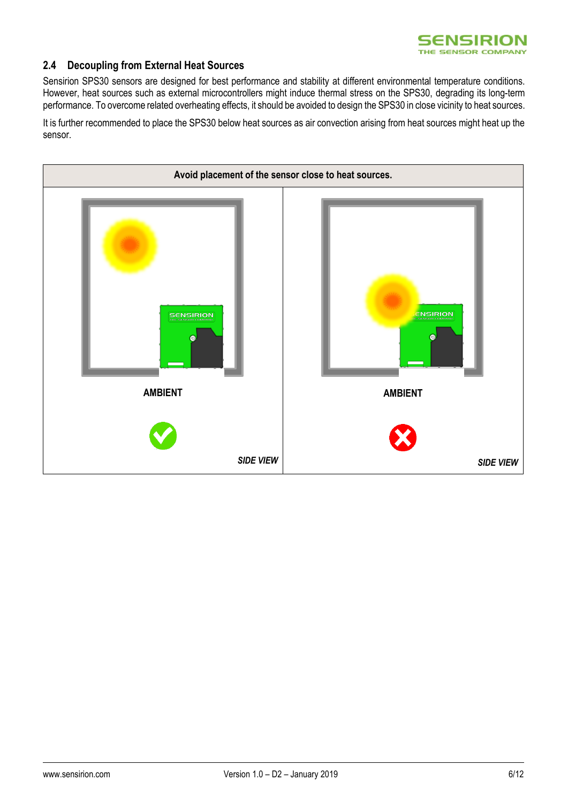

#### **2.4 Decoupling from External Heat Sources**

Sensirion SPS30 sensors are designed for best performance and stability at different environmental temperature conditions. However, heat sources such as external microcontrollers might induce thermal stress on the SPS30, degrading its long-term performance. To overcome related overheating effects, it should be avoided to design the SPS30 in close vicinity to heat sources.

It is further recommended to place the SPS30 below heat sources as air convection arising from heat sources might heat up the sensor.

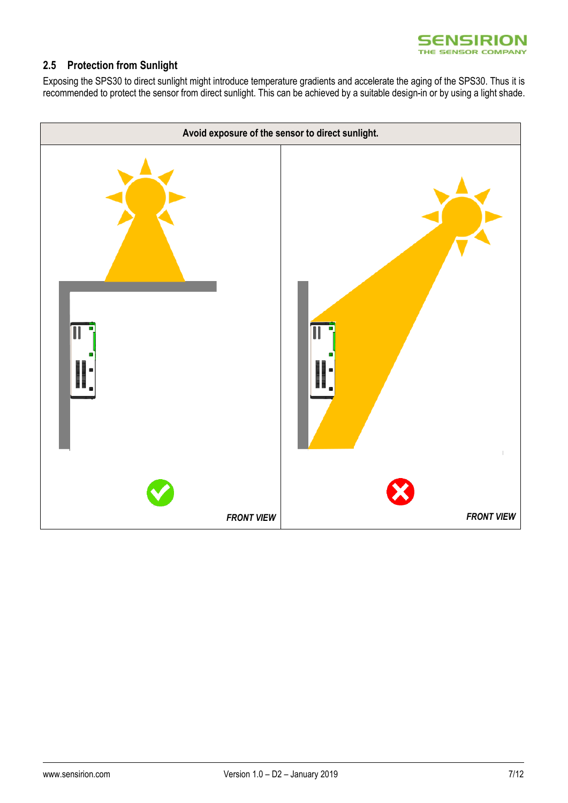

### **2.5 Protection from Sunlight**

Exposing the SPS30 to direct sunlight might introduce temperature gradients and accelerate the aging of the SPS30. Thus it is recommended to protect the sensor from direct sunlight. This can be achieved by a suitable design-in or by using a light shade.

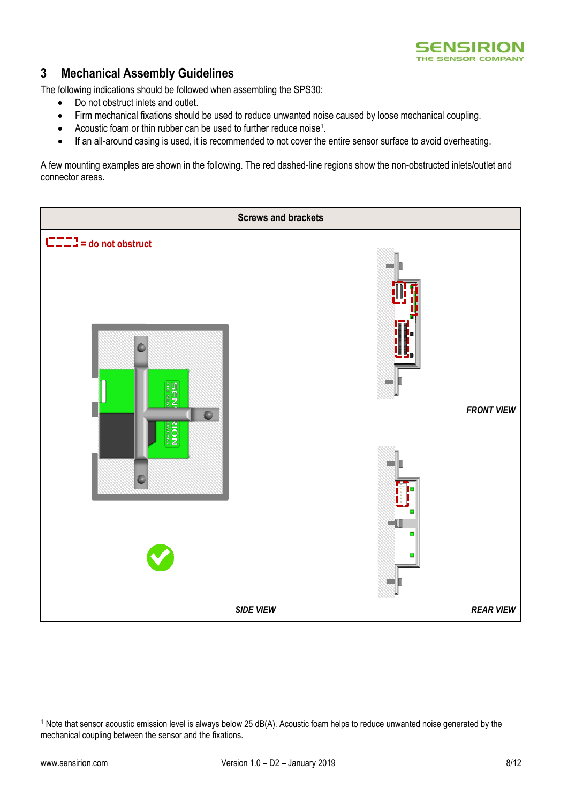

## **3 Mechanical Assembly Guidelines**

The following indications should be followed when assembling the SPS30:

- Do not obstruct inlets and outlet.
- Firm mechanical fixations should be used to reduce unwanted noise caused by loose mechanical coupling.
- Acoustic foam or thin rubber can be used to further reduce noise<sup>1</sup>.
- If an all-around casing is used, it is recommended to not cover the entire sensor surface to avoid overheating.

A few mounting examples are shown in the following. The red dashed-line regions show the non-obstructed inlets/outlet and connector areas.



 $1$  Note that sensor acoustic emission level is always below 25 dB(A). Acoustic foam helps to reduce unwanted noise generated by the mechanical coupling between the sensor and the fixations.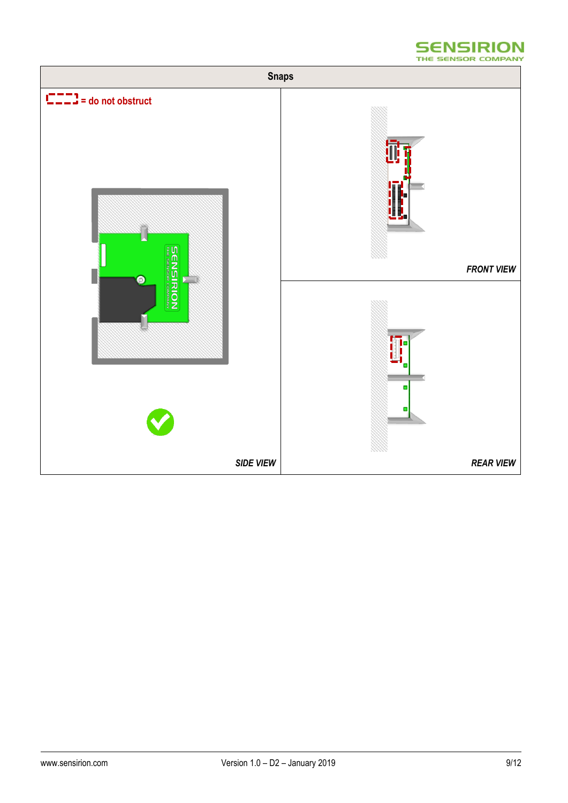

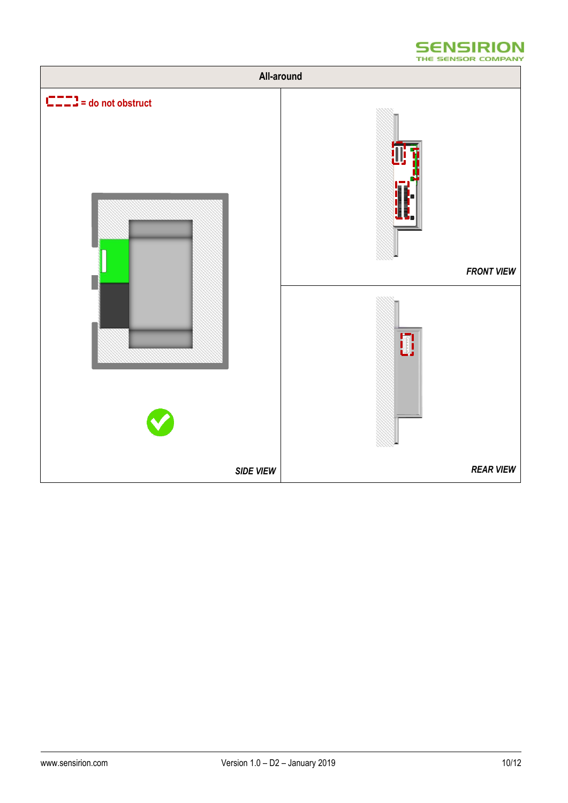

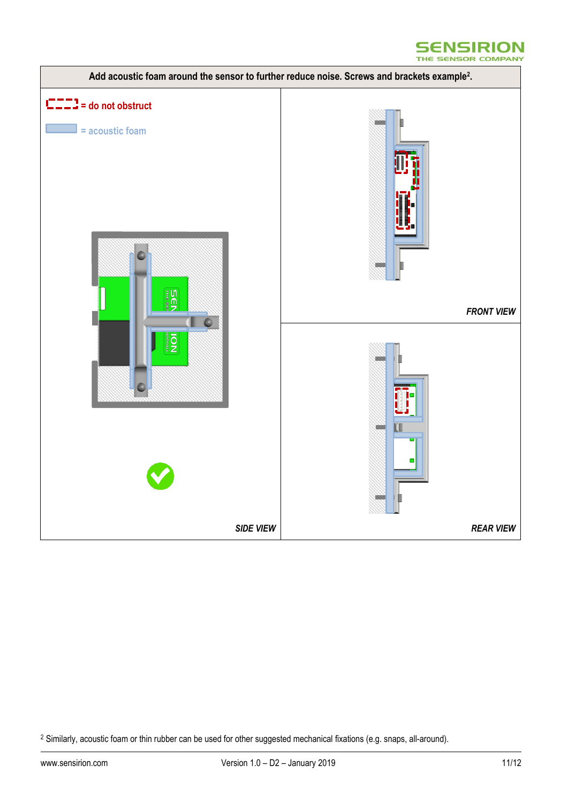



<sup>&</sup>lt;sup>2</sup> Similarly, acoustic foam or thin rubber can be used for other suggested mechanical fixations (e.g. snaps, all-around).